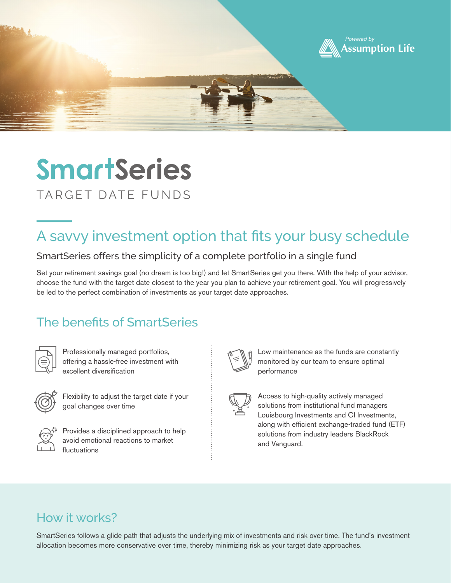

# **SmartSeries** TARGET DATE FUNDS

## A savvy investment option that fits your busy schedule

#### SmartSeries offers the simplicity of a complete portfolio in a single fund

Set your retirement savings goal (no dream is too big!) and let SmartSeries get you there. With the help of your advisor, choose the fund with the target date closest to the year you plan to achieve your retirement goal. You will progressively be led to the perfect combination of investments as your target date approaches.

#### The benefits of SmartSeries



Professionally managed portfolios, offering a hassle-free investment with excellent diversification



Flexibility to adjust the target date if your goal changes over time



Provides a disciplined approach to help avoid emotional reactions to market fluctuations



Low maintenance as the funds are constantly monitored by our team to ensure optimal performance

Access to high-quality actively managed solutions from institutional fund managers Louisbourg Investments and CI Investments, along with efficient exchange-traded fund (ETF) solutions from industry leaders BlackRock and Vanguard.

#### How it works?

SmartSeries follows a glide path that adjusts the underlying mix of investments and risk over time. The fund's investment allocation becomes more conservative over time, thereby minimizing risk as your target date approaches.